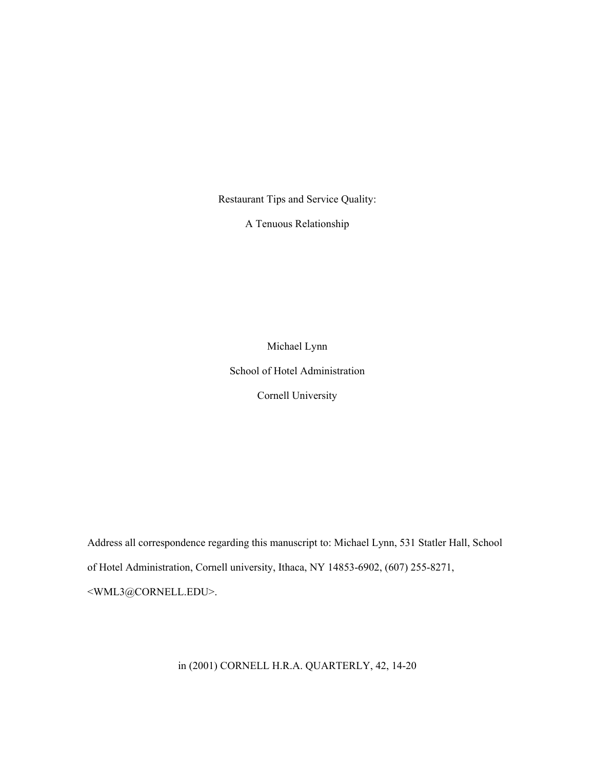Restaurant Tips and Service Quality:

A Tenuous Relationship

Michael Lynn School of Hotel Administration Cornell University

Address all correspondence regarding this manuscript to: Michael Lynn, 531 Statler Hall, School of Hotel Administration, Cornell university, Ithaca, NY 14853-6902, (607) 255-8271, <WML3@CORNELL.EDU>.

in (2001) CORNELL H.R.A. QUARTERLY, 42, 14-20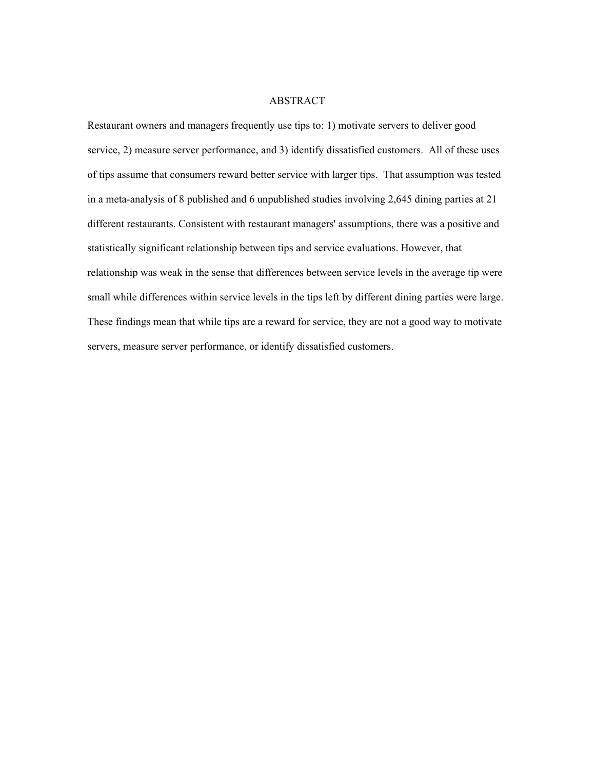## ABSTRACT

Restaurant owners and managers frequently use tips to: 1) motivate servers to deliver good service, 2) measure server performance, and 3) identify dissatisfied customers. All of these uses of tips assume that consumers reward better service with larger tips. That assumption was tested in a meta-analysis of 8 published and 6 unpublished studies involving 2,645 dining parties at 21 different restaurants. Consistent with restaurant managers' assumptions, there was a positive and statistically significant relationship between tips and service evaluations. However, that relationship was weak in the sense that differences between service levels in the average tip were small while differences within service levels in the tips left by different dining parties were large. These findings mean that while tips are a reward for service, they are not a good way to motivate servers, measure server performance, or identify dissatisfied customers.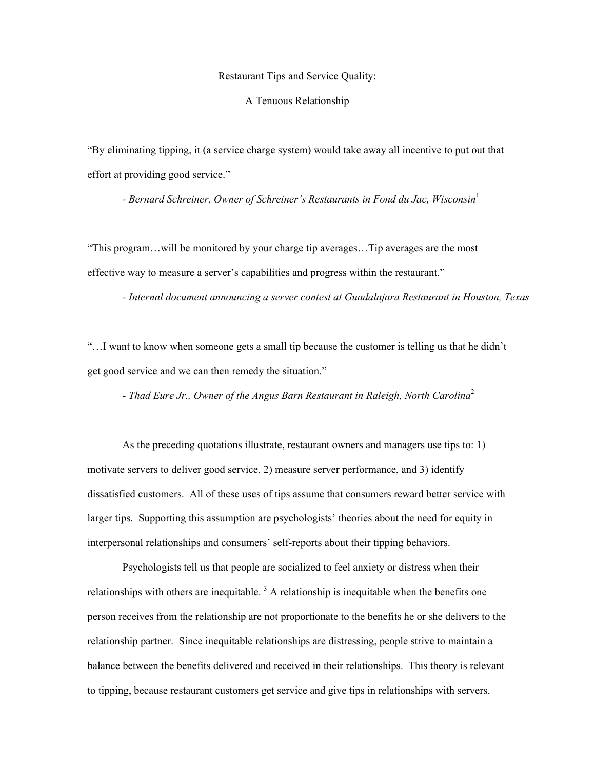Restaurant Tips and Service Quality:

A Tenuous Relationship

"By eliminating tipping, it (a service charge system) would take away all incentive to put out that effort at providing good service."

 *- Bernard Schreiner, Owner of Schreiner's Restaurants in Fond du Jac, Wisconsin*<sup>1</sup>

"This program…will be monitored by your charge tip averages…Tip averages are the most effective way to measure a server's capabilities and progress within the restaurant."

 *- Internal document announcing a server contest at Guadalajara Restaurant in Houston, Texas* 

"…I want to know when someone gets a small tip because the customer is telling us that he didn't get good service and we can then remedy the situation."

 *- Thad Eure Jr., Owner of the Angus Barn Restaurant in Raleigh, North Carolina*<sup>2</sup>

 As the preceding quotations illustrate, restaurant owners and managers use tips to: 1) motivate servers to deliver good service, 2) measure server performance, and 3) identify dissatisfied customers. All of these uses of tips assume that consumers reward better service with larger tips. Supporting this assumption are psychologists' theories about the need for equity in interpersonal relationships and consumers' self-reports about their tipping behaviors.

 Psychologists tell us that people are socialized to feel anxiety or distress when their relationships with others are inequitable.<sup>3</sup> A relationship is inequitable when the benefits one person receives from the relationship are not proportionate to the benefits he or she delivers to the relationship partner. Since inequitable relationships are distressing, people strive to maintain a balance between the benefits delivered and received in their relationships. This theory is relevant to tipping, because restaurant customers get service and give tips in relationships with servers.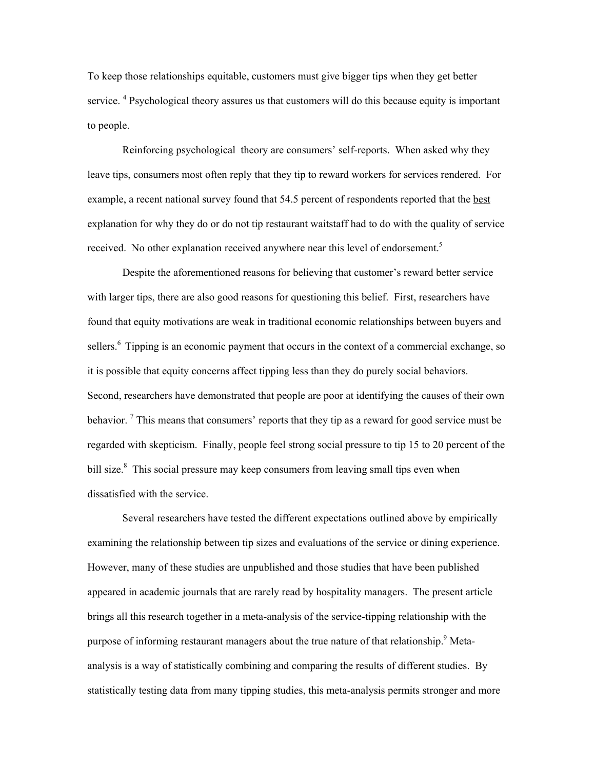To keep those relationships equitable, customers must give bigger tips when they get better service.<sup>4</sup> Psychological theory assures us that customers will do this because equity is important to people.

 Reinforcing psychological theory are consumers' self-reports. When asked why they leave tips, consumers most often reply that they tip to reward workers for services rendered. For example, a recent national survey found that 54.5 percent of respondents reported that the best explanation for why they do or do not tip restaurant waitstaff had to do with the quality of service received. No other explanation received anywhere near this level of endorsement.<sup>5</sup>

 Despite the aforementioned reasons for believing that customer's reward better service with larger tips, there are also good reasons for questioning this belief. First, researchers have found that equity motivations are weak in traditional economic relationships between buyers and sellers.<sup>6</sup> Tipping is an economic payment that occurs in the context of a commercial exchange, so it is possible that equity concerns affect tipping less than they do purely social behaviors. Second, researchers have demonstrated that people are poor at identifying the causes of their own behavior.  $\frac{7}{1}$  This means that consumers' reports that they tip as a reward for good service must be regarded with skepticism. Finally, people feel strong social pressure to tip 15 to 20 percent of the bill size.<sup>8</sup> This social pressure may keep consumers from leaving small tips even when dissatisfied with the service.

 Several researchers have tested the different expectations outlined above by empirically examining the relationship between tip sizes and evaluations of the service or dining experience. However, many of these studies are unpublished and those studies that have been published appeared in academic journals that are rarely read by hospitality managers. The present article brings all this research together in a meta-analysis of the service-tipping relationship with the purpose of informing restaurant managers about the true nature of that relationship. <sup>9</sup> Metaanalysis is a way of statistically combining and comparing the results of different studies. By statistically testing data from many tipping studies, this meta-analysis permits stronger and more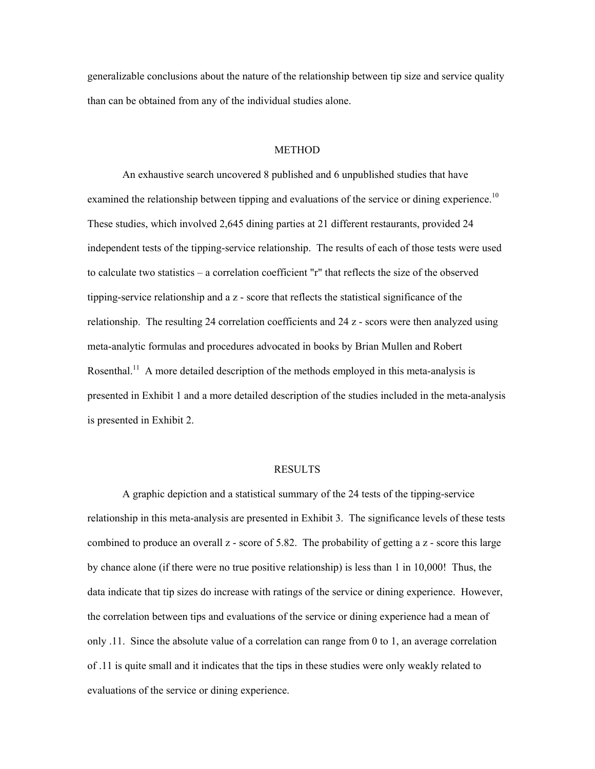generalizable conclusions about the nature of the relationship between tip size and service quality than can be obtained from any of the individual studies alone.

## METHOD

 An exhaustive search uncovered 8 published and 6 unpublished studies that have examined the relationship between tipping and evaluations of the service or dining experience.<sup>10</sup> These studies, which involved 2,645 dining parties at 21 different restaurants, provided 24 independent tests of the tipping-service relationship. The results of each of those tests were used to calculate two statistics – a correlation coefficient "r" that reflects the size of the observed tipping-service relationship and a z - score that reflects the statistical significance of the relationship. The resulting 24 correlation coefficients and 24 z - scors were then analyzed using meta-analytic formulas and procedures advocated in books by Brian Mullen and Robert Rosenthal.<sup>11</sup> A more detailed description of the methods employed in this meta-analysis is presented in Exhibit 1 and a more detailed description of the studies included in the meta-analysis is presented in Exhibit 2.

## RESULTS

 A graphic depiction and a statistical summary of the 24 tests of the tipping-service relationship in this meta-analysis are presented in Exhibit 3. The significance levels of these tests combined to produce an overall z - score of 5.82. The probability of getting a z - score this large by chance alone (if there were no true positive relationship) is less than 1 in 10,000! Thus, the data indicate that tip sizes do increase with ratings of the service or dining experience. However, the correlation between tips and evaluations of the service or dining experience had a mean of only .11. Since the absolute value of a correlation can range from 0 to 1, an average correlation of .11 is quite small and it indicates that the tips in these studies were only weakly related to evaluations of the service or dining experience.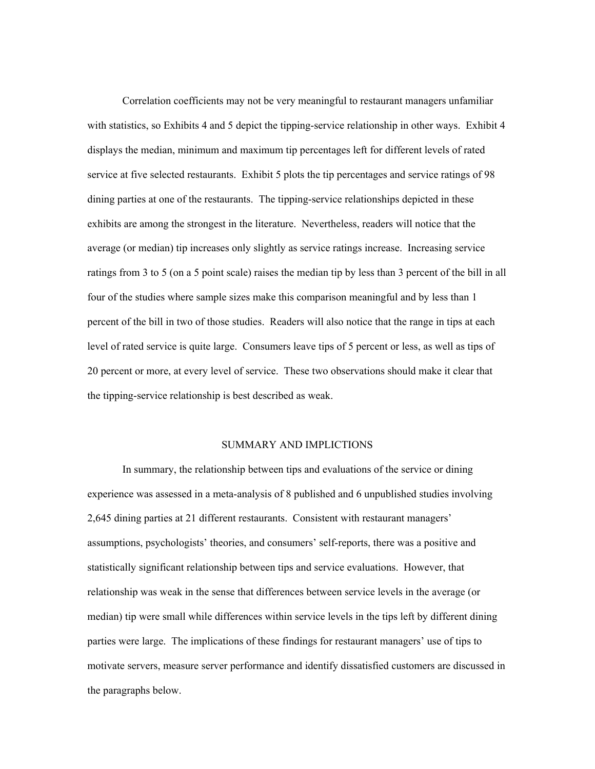Correlation coefficients may not be very meaningful to restaurant managers unfamiliar with statistics, so Exhibits 4 and 5 depict the tipping-service relationship in other ways. Exhibit 4 displays the median, minimum and maximum tip percentages left for different levels of rated service at five selected restaurants. Exhibit 5 plots the tip percentages and service ratings of 98 dining parties at one of the restaurants. The tipping-service relationships depicted in these exhibits are among the strongest in the literature. Nevertheless, readers will notice that the average (or median) tip increases only slightly as service ratings increase. Increasing service ratings from 3 to 5 (on a 5 point scale) raises the median tip by less than 3 percent of the bill in all four of the studies where sample sizes make this comparison meaningful and by less than 1 percent of the bill in two of those studies. Readers will also notice that the range in tips at each level of rated service is quite large. Consumers leave tips of 5 percent or less, as well as tips of 20 percent or more, at every level of service. These two observations should make it clear that the tipping-service relationship is best described as weak.

# SUMMARY AND IMPLICTIONS

 In summary, the relationship between tips and evaluations of the service or dining experience was assessed in a meta-analysis of 8 published and 6 unpublished studies involving 2,645 dining parties at 21 different restaurants. Consistent with restaurant managers' assumptions, psychologists' theories, and consumers' self-reports, there was a positive and statistically significant relationship between tips and service evaluations. However, that relationship was weak in the sense that differences between service levels in the average (or median) tip were small while differences within service levels in the tips left by different dining parties were large. The implications of these findings for restaurant managers' use of tips to motivate servers, measure server performance and identify dissatisfied customers are discussed in the paragraphs below.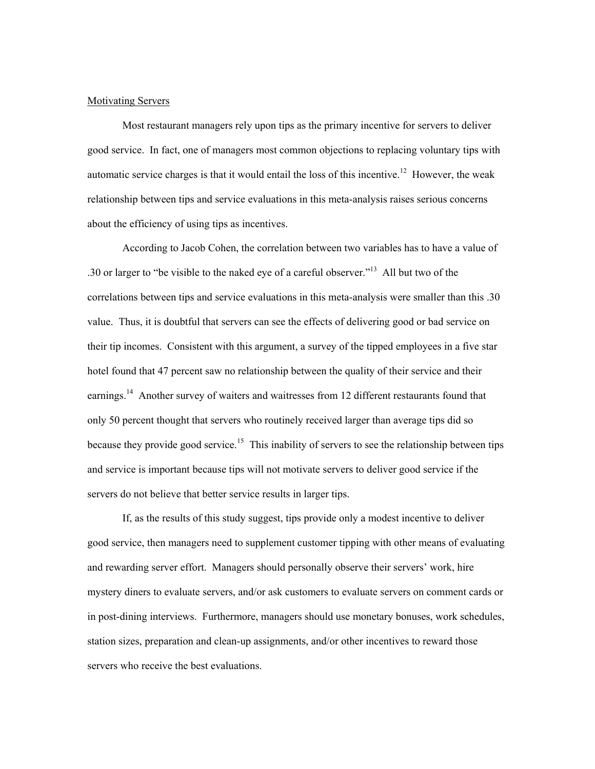### Motivating Servers

 Most restaurant managers rely upon tips as the primary incentive for servers to deliver good service. In fact, one of managers most common objections to replacing voluntary tips with automatic service charges is that it would entail the loss of this incentive.<sup>12</sup> However, the weak relationship between tips and service evaluations in this meta-analysis raises serious concerns about the efficiency of using tips as incentives.

 According to Jacob Cohen, the correlation between two variables has to have a value of .30 or larger to "be visible to the naked eye of a careful observer."<sup>13</sup> All but two of the correlations between tips and service evaluations in this meta-analysis were smaller than this .30 value. Thus, it is doubtful that servers can see the effects of delivering good or bad service on their tip incomes. Consistent with this argument, a survey of the tipped employees in a five star hotel found that 47 percent saw no relationship between the quality of their service and their earnings.<sup>14</sup> Another survey of waiters and waitresses from 12 different restaurants found that only 50 percent thought that servers who routinely received larger than average tips did so because they provide good service.<sup>15</sup> This inability of servers to see the relationship between tips and service is important because tips will not motivate servers to deliver good service if the servers do not believe that better service results in larger tips.

 If, as the results of this study suggest, tips provide only a modest incentive to deliver good service, then managers need to supplement customer tipping with other means of evaluating and rewarding server effort. Managers should personally observe their servers' work, hire mystery diners to evaluate servers, and/or ask customers to evaluate servers on comment cards or in post-dining interviews. Furthermore, managers should use monetary bonuses, work schedules, station sizes, preparation and clean-up assignments, and/or other incentives to reward those servers who receive the best evaluations.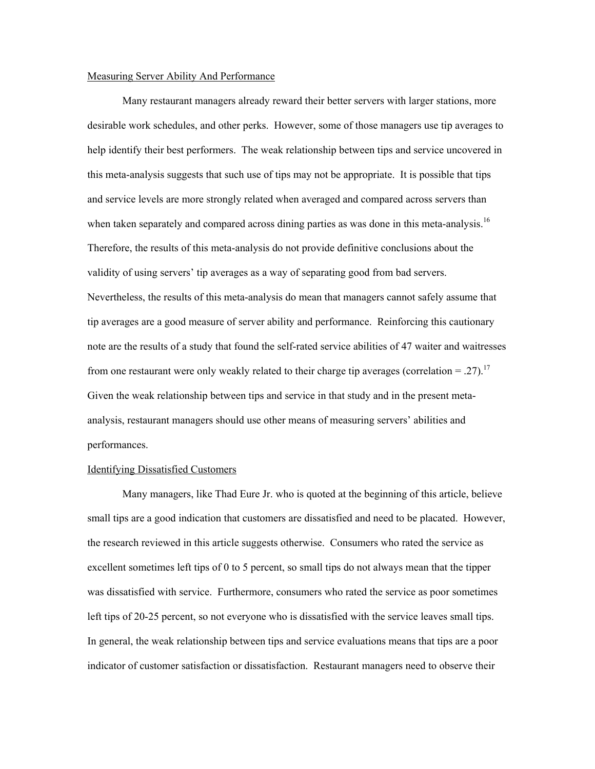## Measuring Server Ability And Performance

 Many restaurant managers already reward their better servers with larger stations, more desirable work schedules, and other perks. However, some of those managers use tip averages to help identify their best performers. The weak relationship between tips and service uncovered in this meta-analysis suggests that such use of tips may not be appropriate. It is possible that tips and service levels are more strongly related when averaged and compared across servers than when taken separately and compared across dining parties as was done in this meta-analysis.<sup>16</sup> Therefore, the results of this meta-analysis do not provide definitive conclusions about the validity of using servers' tip averages as a way of separating good from bad servers. Nevertheless, the results of this meta-analysis do mean that managers cannot safely assume that tip averages are a good measure of server ability and performance. Reinforcing this cautionary note are the results of a study that found the self-rated service abilities of 47 waiter and waitresses from one restaurant were only weakly related to their charge tip averages (correlation = .27).<sup>17</sup> Given the weak relationship between tips and service in that study and in the present metaanalysis, restaurant managers should use other means of measuring servers' abilities and performances.

## Identifying Dissatisfied Customers

 Many managers, like Thad Eure Jr. who is quoted at the beginning of this article, believe small tips are a good indication that customers are dissatisfied and need to be placated. However, the research reviewed in this article suggests otherwise. Consumers who rated the service as excellent sometimes left tips of 0 to 5 percent, so small tips do not always mean that the tipper was dissatisfied with service. Furthermore, consumers who rated the service as poor sometimes left tips of 20-25 percent, so not everyone who is dissatisfied with the service leaves small tips. In general, the weak relationship between tips and service evaluations means that tips are a poor indicator of customer satisfaction or dissatisfaction. Restaurant managers need to observe their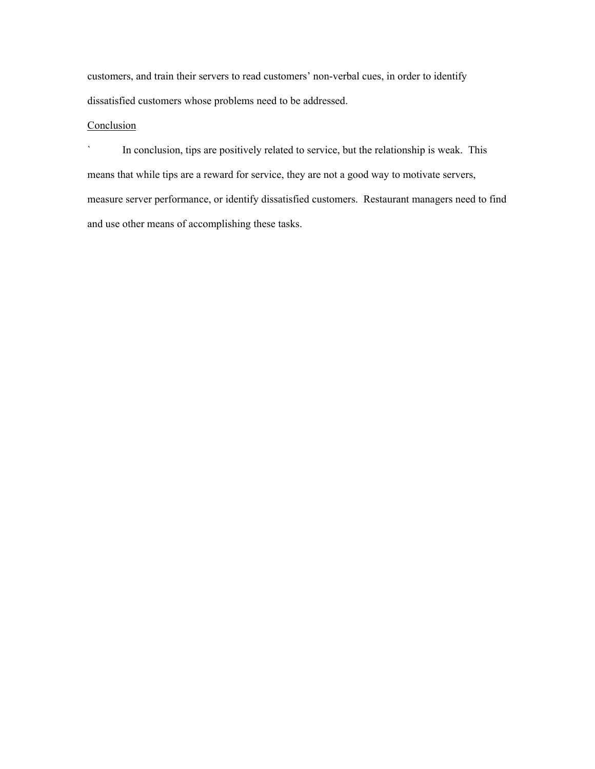customers, and train their servers to read customers' non-verbal cues, in order to identify dissatisfied customers whose problems need to be addressed.

# **Conclusion**

` In conclusion, tips are positively related to service, but the relationship is weak. This means that while tips are a reward for service, they are not a good way to motivate servers, measure server performance, or identify dissatisfied customers. Restaurant managers need to find and use other means of accomplishing these tasks.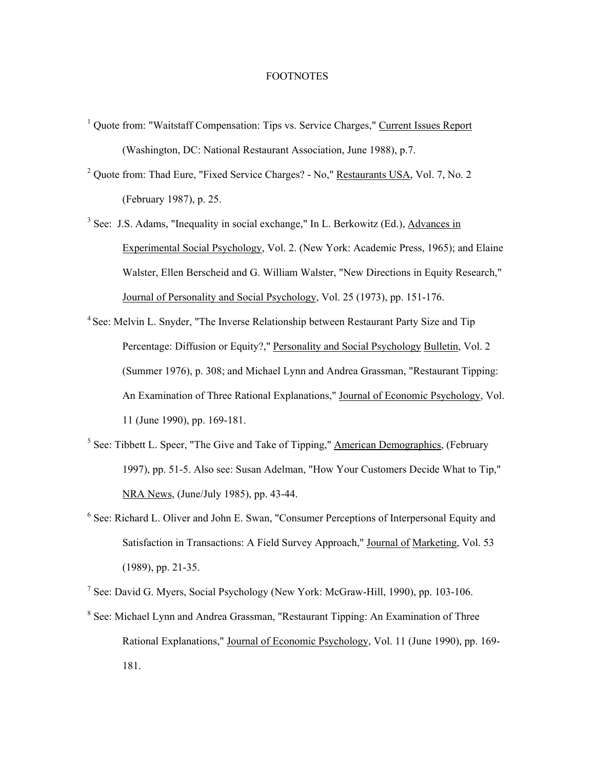# FOOTNOTES

- <sup>1</sup> Quote from: "Waitstaff Compensation: Tips vs. Service Charges," Current Issues Report (Washington, DC: National Restaurant Association, June 1988), p.7.
- <sup>2</sup> Quote from: Thad Eure, "Fixed Service Charges? No," Restaurants USA, Vol. 7, No. 2 (February 1987), p. 25.
- <sup>3</sup> See: J.S. Adams, "Inequality in social exchange," In L. Berkowitz (Ed.), Advances in Experimental Social Psychology, Vol. 2. (New York: Academic Press, 1965); and Elaine Walster, Ellen Berscheid and G. William Walster, "New Directions in Equity Research," Journal of Personality and Social Psychology, Vol. 25 (1973), pp. 151-176.
- <sup>4</sup> See: Melvin L. Snyder, "The Inverse Relationship between Restaurant Party Size and Tip Percentage: Diffusion or Equity?," Personality and Social Psychology Bulletin, Vol. 2 (Summer 1976), p. 308; and Michael Lynn and Andrea Grassman, "Restaurant Tipping: An Examination of Three Rational Explanations," Journal of Economic Psychology, Vol. 11 (June 1990), pp. 169-181.
- $<sup>5</sup>$  See: Tibbett L. Speer, "The Give and Take of Tipping," American Demographics, (February</sup> 1997), pp. 51-5. Also see: Susan Adelman, "How Your Customers Decide What to Tip," NRA News, (June/July 1985), pp. 43-44.
- <sup>6</sup> See: Richard L. Oliver and John E. Swan, "Consumer Perceptions of Interpersonal Equity and Satisfaction in Transactions: A Field Survey Approach," Journal of Marketing, Vol. 53 (1989), pp. 21-35.

<sup>7</sup> See: David G. Myers, Social Psychology (New York: McGraw-Hill, 1990), pp. 103-106.

<sup>8</sup> See: Michael Lynn and Andrea Grassman, "Restaurant Tipping: An Examination of Three Rational Explanations," Journal of Economic Psychology, Vol. 11 (June 1990), pp. 169- 181.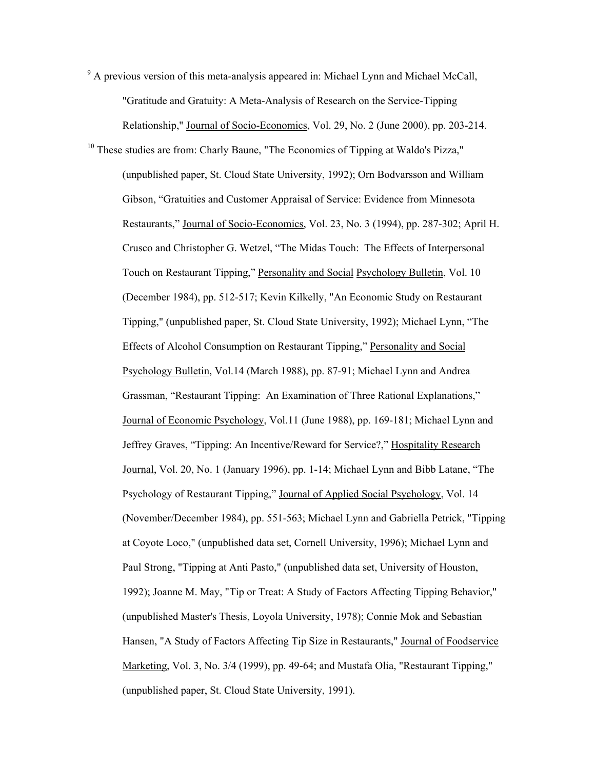<sup>9</sup> A previous version of this meta-analysis appeared in: Michael Lynn and Michael McCall, "Gratitude and Gratuity: A Meta-Analysis of Research on the Service-Tipping Relationship," Journal of Socio-Economics, Vol. 29, No. 2 (June 2000), pp. 203-214.

<sup>10</sup> These studies are from: Charly Baune, "The Economics of Tipping at Waldo's Pizza," (unpublished paper, St. Cloud State University, 1992); Orn Bodvarsson and William Gibson, "Gratuities and Customer Appraisal of Service: Evidence from Minnesota Restaurants," Journal of Socio-Economics, Vol. 23, No. 3 (1994), pp. 287-302; April H. Crusco and Christopher G. Wetzel, "The Midas Touch: The Effects of Interpersonal Touch on Restaurant Tipping," Personality and Social Psychology Bulletin, Vol. 10 (December 1984), pp. 512-517; Kevin Kilkelly, "An Economic Study on Restaurant Tipping," (unpublished paper, St. Cloud State University, 1992); Michael Lynn, "The Effects of Alcohol Consumption on Restaurant Tipping," Personality and Social Psychology Bulletin, Vol.14 (March 1988), pp. 87-91; Michael Lynn and Andrea Grassman, "Restaurant Tipping: An Examination of Three Rational Explanations," Journal of Economic Psychology, Vol.11 (June 1988), pp. 169-181; Michael Lynn and Jeffrey Graves, "Tipping: An Incentive/Reward for Service?," Hospitality Research Journal, Vol. 20, No. 1 (January 1996), pp. 1-14; Michael Lynn and Bibb Latane, "The Psychology of Restaurant Tipping," Journal of Applied Social Psychology, Vol. 14 (November/December 1984), pp. 551-563; Michael Lynn and Gabriella Petrick, "Tipping at Coyote Loco," (unpublished data set, Cornell University, 1996); Michael Lynn and Paul Strong, "Tipping at Anti Pasto," (unpublished data set, University of Houston, 1992); Joanne M. May, "Tip or Treat: A Study of Factors Affecting Tipping Behavior," (unpublished Master's Thesis, Loyola University, 1978); Connie Mok and Sebastian Hansen, "A Study of Factors Affecting Tip Size in Restaurants," Journal of Foodservice Marketing, Vol. 3, No. 3/4 (1999), pp. 49-64; and Mustafa Olia, "Restaurant Tipping," (unpublished paper, St. Cloud State University, 1991).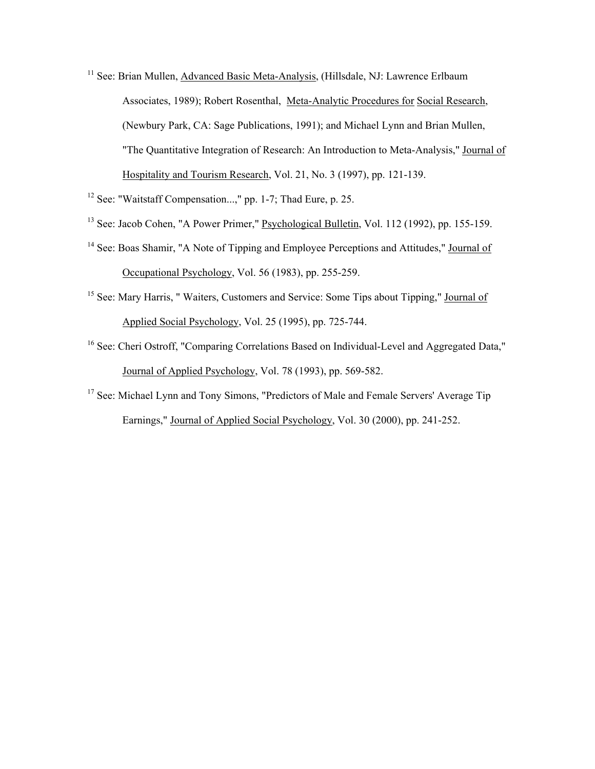- <sup>11</sup> See: Brian Mullen, Advanced Basic Meta-Analysis, (Hillsdale, NJ: Lawrence Erlbaum Associates, 1989); Robert Rosenthal, Meta-Analytic Procedures for Social Research, (Newbury Park, CA: Sage Publications, 1991); and Michael Lynn and Brian Mullen, "The Quantitative Integration of Research: An Introduction to Meta-Analysis," Journal of Hospitality and Tourism Research, Vol. 21, No. 3 (1997), pp. 121-139.
- <sup>12</sup> See: "Waitstaff Compensation...," pp. 1-7; Thad Eure, p. 25.
- 13 See: Jacob Cohen, "A Power Primer," Psychological Bulletin, Vol. 112 (1992), pp. 155-159.
- <sup>14</sup> See: Boas Shamir, "A Note of Tipping and Employee Perceptions and Attitudes," Journal of Occupational Psychology, Vol. 56 (1983), pp. 255-259.
- <sup>15</sup> See: Mary Harris, "Waiters, Customers and Service: Some Tips about Tipping," Journal of Applied Social Psychology, Vol. 25 (1995), pp. 725-744.
- <sup>16</sup> See: Cheri Ostroff, "Comparing Correlations Based on Individual-Level and Aggregated Data," Journal of Applied Psychology, Vol. 78 (1993), pp. 569-582.
- <sup>17</sup> See: Michael Lynn and Tony Simons, "Predictors of Male and Female Servers' Average Tip Earnings," Journal of Applied Social Psychology, Vol. 30 (2000), pp. 241-252.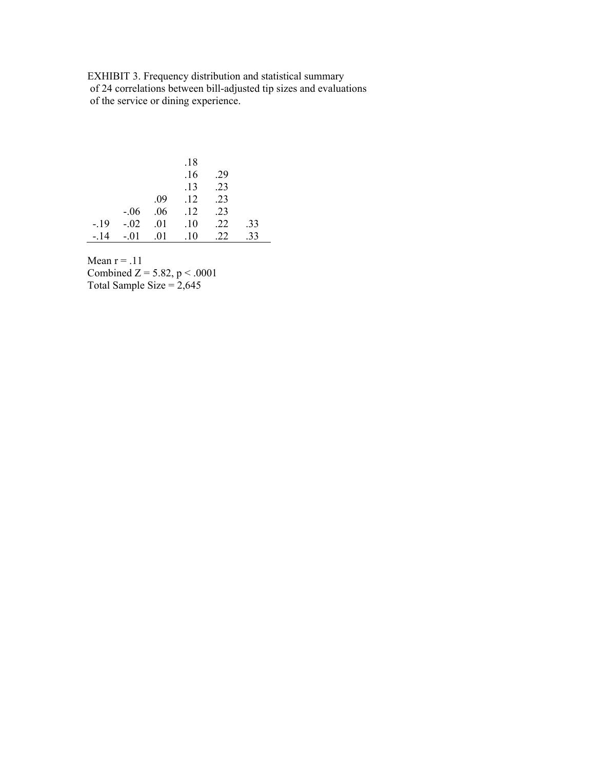EXHIBIT 3. Frequency distribution and statistical summary of 24 correlations between bill-adjusted tip sizes and evaluations of the service or dining experience.

|        |         |     | .18 |     |     |
|--------|---------|-----|-----|-----|-----|
|        |         |     | .16 | .29 |     |
|        |         |     | .13 | .23 |     |
|        |         | .09 | .12 | .23 |     |
|        | $-.06$  | .06 | .12 | .23 |     |
| $-19$  | $-0.02$ | .01 | .10 | .22 | .33 |
| $-.14$ | $-.01$  | .01 | .10 | 22  | .33 |

Mean  $r = .11$ 

Combined  $Z = 5.82$ ,  $p < .0001$ Total Sample Size  $= 2,645$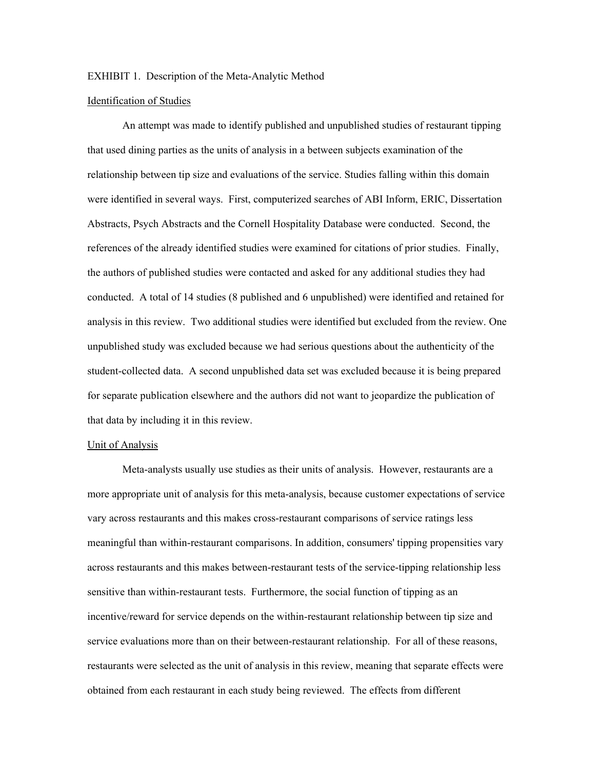## EXHIBIT 1. Description of the Meta-Analytic Method

## Identification of Studies

 An attempt was made to identify published and unpublished studies of restaurant tipping that used dining parties as the units of analysis in a between subjects examination of the relationship between tip size and evaluations of the service. Studies falling within this domain were identified in several ways. First, computerized searches of ABI Inform, ERIC, Dissertation Abstracts, Psych Abstracts and the Cornell Hospitality Database were conducted. Second, the references of the already identified studies were examined for citations of prior studies. Finally, the authors of published studies were contacted and asked for any additional studies they had conducted. A total of 14 studies (8 published and 6 unpublished) were identified and retained for analysis in this review. Two additional studies were identified but excluded from the review. One unpublished study was excluded because we had serious questions about the authenticity of the student-collected data. A second unpublished data set was excluded because it is being prepared for separate publication elsewhere and the authors did not want to jeopardize the publication of that data by including it in this review.

## Unit of Analysis

 Meta-analysts usually use studies as their units of analysis. However, restaurants are a more appropriate unit of analysis for this meta-analysis, because customer expectations of service vary across restaurants and this makes cross-restaurant comparisons of service ratings less meaningful than within-restaurant comparisons. In addition, consumers' tipping propensities vary across restaurants and this makes between-restaurant tests of the service-tipping relationship less sensitive than within-restaurant tests. Furthermore, the social function of tipping as an incentive/reward for service depends on the within-restaurant relationship between tip size and service evaluations more than on their between-restaurant relationship. For all of these reasons, restaurants were selected as the unit of analysis in this review, meaning that separate effects were obtained from each restaurant in each study being reviewed. The effects from different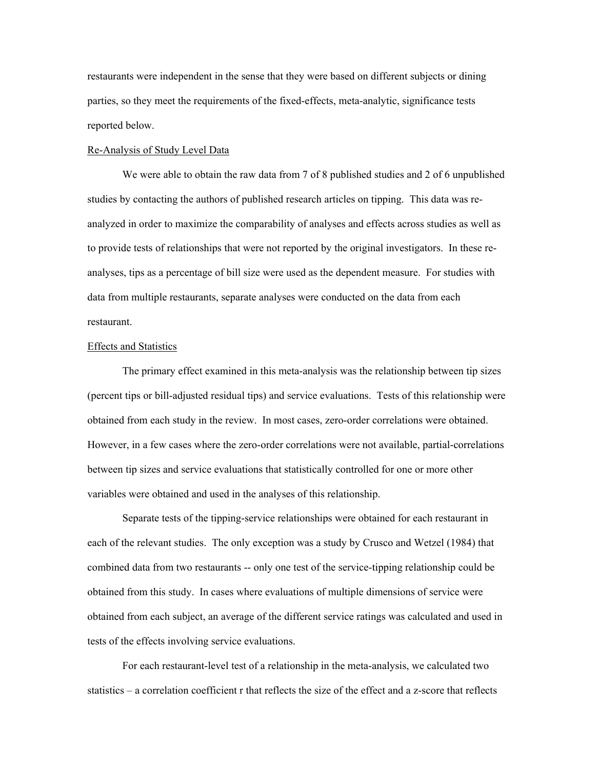restaurants were independent in the sense that they were based on different subjects or dining parties, so they meet the requirements of the fixed-effects, meta-analytic, significance tests reported below.

## Re-Analysis of Study Level Data

We were able to obtain the raw data from 7 of 8 published studies and 2 of 6 unpublished studies by contacting the authors of published research articles on tipping. This data was reanalyzed in order to maximize the comparability of analyses and effects across studies as well as to provide tests of relationships that were not reported by the original investigators. In these reanalyses, tips as a percentage of bill size were used as the dependent measure. For studies with data from multiple restaurants, separate analyses were conducted on the data from each restaurant.

# Effects and Statistics

 The primary effect examined in this meta-analysis was the relationship between tip sizes (percent tips or bill-adjusted residual tips) and service evaluations. Tests of this relationship were obtained from each study in the review. In most cases, zero-order correlations were obtained. However, in a few cases where the zero-order correlations were not available, partial-correlations between tip sizes and service evaluations that statistically controlled for one or more other variables were obtained and used in the analyses of this relationship.

 Separate tests of the tipping-service relationships were obtained for each restaurant in each of the relevant studies. The only exception was a study by Crusco and Wetzel (1984) that combined data from two restaurants -- only one test of the service-tipping relationship could be obtained from this study. In cases where evaluations of multiple dimensions of service were obtained from each subject, an average of the different service ratings was calculated and used in tests of the effects involving service evaluations.

 For each restaurant-level test of a relationship in the meta-analysis, we calculated two statistics – a correlation coefficient r that reflects the size of the effect and a z-score that reflects